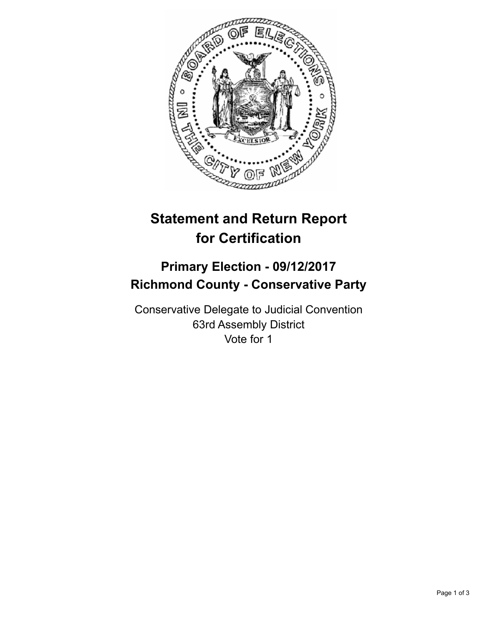

## **Statement and Return Report for Certification**

## **Primary Election - 09/12/2017 Richmond County - Conservative Party**

Conservative Delegate to Judicial Convention 63rd Assembly District Vote for 1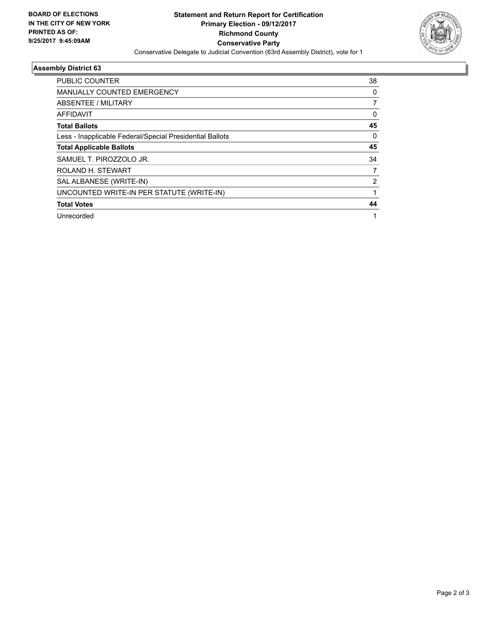

## **Assembly District 63**

| <b>PUBLIC COUNTER</b>                                    | 38 |
|----------------------------------------------------------|----|
| <b>MANUALLY COUNTED EMERGENCY</b>                        | 0  |
| ABSENTEE / MILITARY                                      | 7  |
| AFFIDAVIT                                                | 0  |
| <b>Total Ballots</b>                                     | 45 |
| Less - Inapplicable Federal/Special Presidential Ballots | 0  |
| <b>Total Applicable Ballots</b>                          | 45 |
| SAMUEL T. PIROZZOLO JR.                                  | 34 |
| ROLAND H. STEWART                                        | 7  |
| SAL ALBANESE (WRITE-IN)                                  | 2  |
| UNCOUNTED WRITE-IN PER STATUTE (WRITE-IN)                |    |
| <b>Total Votes</b>                                       | 44 |
| Unrecorded                                               | 1  |